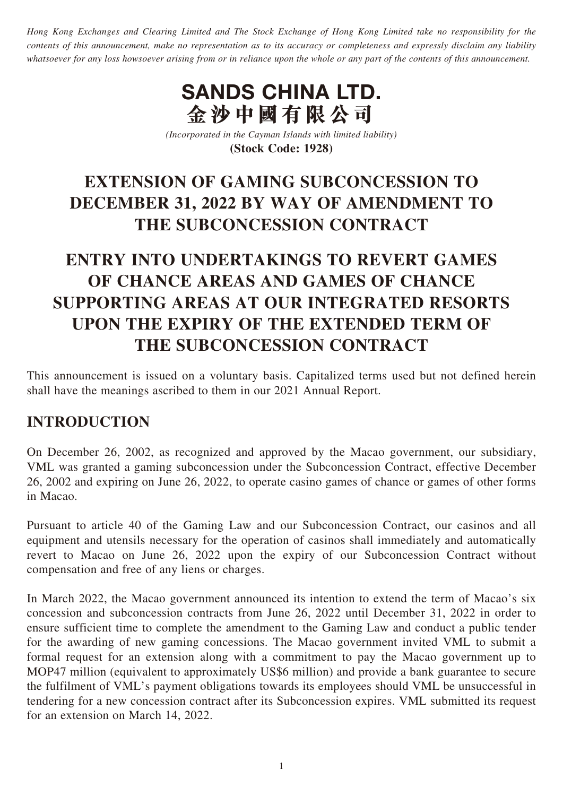*Hong Kong Exchanges and Clearing Limited and The Stock Exchange of Hong Kong Limited take no responsibility for the contents of this announcement, make no representation as to its accuracy or completeness and expressly disclaim any liability whatsoever for any loss howsoever arising from or in reliance upon the whole or any part of the contents of this announcement.*

# **SANDS CHINA LTD. 金沙中國有限公司**

*(Incorporated in the Cayman Islands with limited liability)* **(Stock Code: 1928)**

## **EXTENSION OF GAMING SUBCONCESSION TO DECEMBER 31, 2022 BY WAY OF AMENDMENT TO THE SUBCONCESSION CONTRACT**

## **ENTRY INTO UNDERTAKINGS TO REVERT GAMES OF CHANCE AREAS AND GAMES OF CHANCE SUPPORTING AREAS AT OUR INTEGRATED RESORTS UPON THE EXPIRY OF THE EXTENDED TERM OF THE SUBCONCESSION CONTRACT**

This announcement is issued on a voluntary basis. Capitalized terms used but not defined herein shall have the meanings ascribed to them in our 2021 Annual Report.

### **INTRODUCTION**

On December 26, 2002, as recognized and approved by the Macao government, our subsidiary, VML was granted a gaming subconcession under the Subconcession Contract, effective December 26, 2002 and expiring on June 26, 2022, to operate casino games of chance or games of other forms in Macao.

Pursuant to article 40 of the Gaming Law and our Subconcession Contract, our casinos and all equipment and utensils necessary for the operation of casinos shall immediately and automatically revert to Macao on June 26, 2022 upon the expiry of our Subconcession Contract without compensation and free of any liens or charges.

In March 2022, the Macao government announced its intention to extend the term of Macao's six concession and subconcession contracts from June 26, 2022 until December 31, 2022 in order to ensure sufficient time to complete the amendment to the Gaming Law and conduct a public tender for the awarding of new gaming concessions. The Macao government invited VML to submit a formal request for an extension along with a commitment to pay the Macao government up to MOP47 million (equivalent to approximately US\$6 million) and provide a bank guarantee to secure the fulfilment of VML's payment obligations towards its employees should VML be unsuccessful in tendering for a new concession contract after its Subconcession expires. VML submitted its request for an extension on March 14, 2022.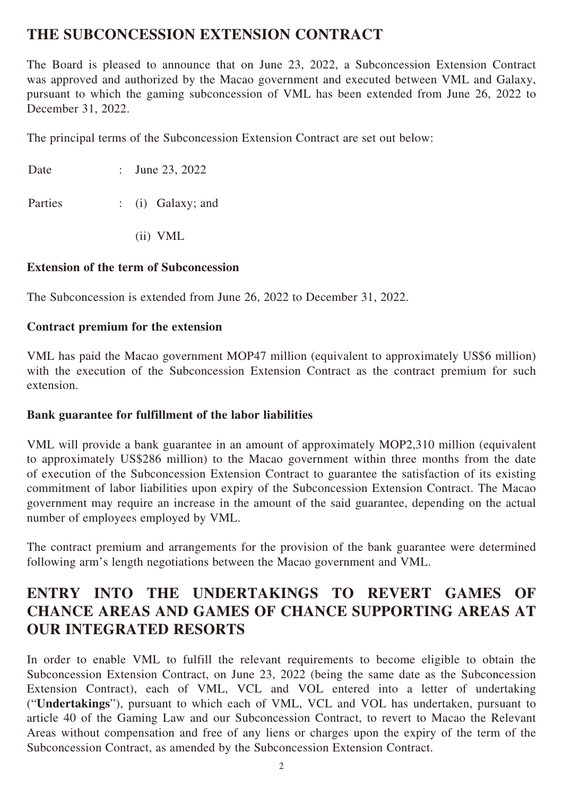### **THE SUBCONCESSION EXTENSION CONTRACT**

The Board is pleased to announce that on June 23, 2022, a Subconcession Extension Contract was approved and authorized by the Macao government and executed between VML and Galaxy, pursuant to which the gaming subconcession of VML has been extended from June 26, 2022 to December 31, 2022.

The principal terms of the Subconcession Extension Contract are set out below:

| Date | : June 23, 2022 |
|------|-----------------|
|      |                 |

Parties : (i) Galaxy; and

(ii) VML

#### **Extension of the term of Subconcession**

The Subconcession is extended from June 26, 2022 to December 31, 2022.

#### **Contract premium for the extension**

VML has paid the Macao government MOP47 million (equivalent to approximately US\$6 million) with the execution of the Subconcession Extension Contract as the contract premium for such extension.

#### **Bank guarantee for fulfillment of the labor liabilities**

VML will provide a bank guarantee in an amount of approximately MOP2,310 million (equivalent to approximately US\$286 million) to the Macao government within three months from the date of execution of the Subconcession Extension Contract to guarantee the satisfaction of its existing commitment of labor liabilities upon expiry of the Subconcession Extension Contract. The Macao government may require an increase in the amount of the said guarantee, depending on the actual number of employees employed by VML.

The contract premium and arrangements for the provision of the bank guarantee were determined following arm's length negotiations between the Macao government and VML.

### **ENTRY INTO THE UNDERTAKINGS TO REVERT GAMES OF CHANCE AREAS AND GAMES OF CHANCE SUPPORTING AREAS AT OUR INTEGRATED RESORTS**

In order to enable VML to fulfill the relevant requirements to become eligible to obtain the Subconcession Extension Contract, on June 23, 2022 (being the same date as the Subconcession Extension Contract), each of VML, VCL and VOL entered into a letter of undertaking ("**Undertakings**"), pursuant to which each of VML, VCL and VOL has undertaken, pursuant to article 40 of the Gaming Law and our Subconcession Contract, to revert to Macao the Relevant Areas without compensation and free of any liens or charges upon the expiry of the term of the Subconcession Contract, as amended by the Subconcession Extension Contract.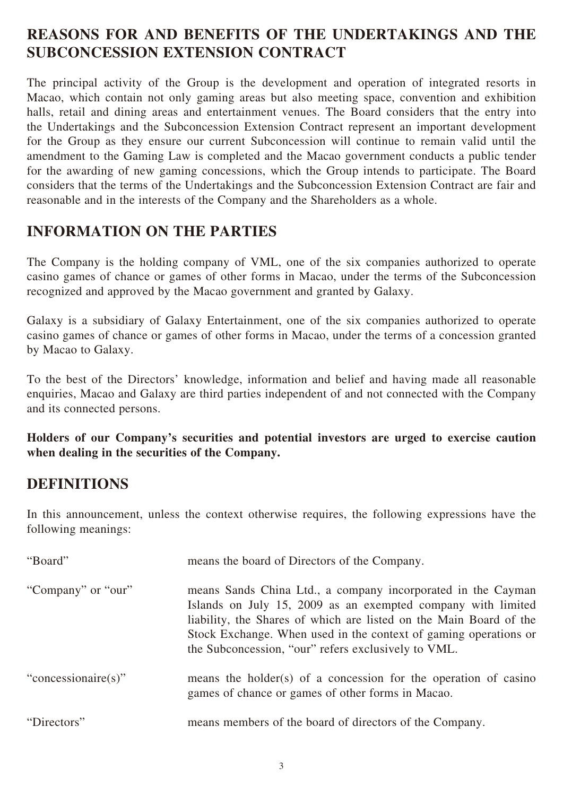### **REASONS FOR AND BENEFITS OF THE UNDERTAKINGS AND THE SUBCONCESSION EXTENSION CONTRACT**

The principal activity of the Group is the development and operation of integrated resorts in Macao, which contain not only gaming areas but also meeting space, convention and exhibition halls, retail and dining areas and entertainment venues. The Board considers that the entry into the Undertakings and the Subconcession Extension Contract represent an important development for the Group as they ensure our current Subconcession will continue to remain valid until the amendment to the Gaming Law is completed and the Macao government conducts a public tender for the awarding of new gaming concessions, which the Group intends to participate. The Board considers that the terms of the Undertakings and the Subconcession Extension Contract are fair and reasonable and in the interests of the Company and the Shareholders as a whole.

### **INFORMATION ON THE PARTIES**

The Company is the holding company of VML, one of the six companies authorized to operate casino games of chance or games of other forms in Macao, under the terms of the Subconcession recognized and approved by the Macao government and granted by Galaxy.

Galaxy is a subsidiary of Galaxy Entertainment, one of the six companies authorized to operate casino games of chance or games of other forms in Macao, under the terms of a concession granted by Macao to Galaxy.

To the best of the Directors' knowledge, information and belief and having made all reasonable enquiries, Macao and Galaxy are third parties independent of and not connected with the Company and its connected persons.

**Holders of our Company's securities and potential investors are urged to exercise caution when dealing in the securities of the Company.**

### **DEFINITIONS**

In this announcement, unless the context otherwise requires, the following expressions have the following meanings:

| "Board"             | means the board of Directors of the Company.                                                                                                                                                                                                                                                                                  |
|---------------------|-------------------------------------------------------------------------------------------------------------------------------------------------------------------------------------------------------------------------------------------------------------------------------------------------------------------------------|
| "Company" or "our"  | means Sands China Ltd., a company incorporated in the Cayman<br>Islands on July 15, 2009 as an exempted company with limited<br>liability, the Shares of which are listed on the Main Board of the<br>Stock Exchange. When used in the context of gaming operations or<br>the Subconcession, "our" refers exclusively to VML. |
| "concessionaire(s)" | means the holder(s) of a concession for the operation of casino<br>games of chance or games of other forms in Macao.                                                                                                                                                                                                          |
| "Directors"         | means members of the board of directors of the Company.                                                                                                                                                                                                                                                                       |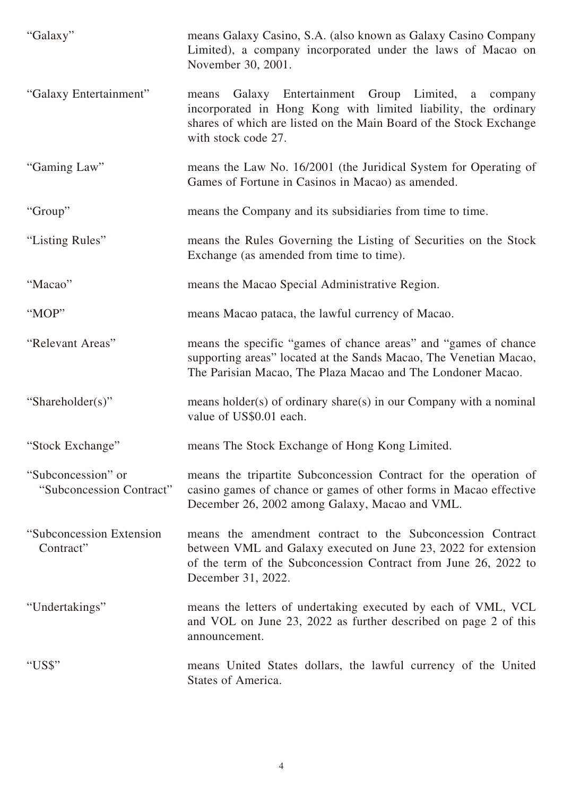| "Galaxy"                                       | means Galaxy Casino, S.A. (also known as Galaxy Casino Company<br>Limited), a company incorporated under the laws of Macao on<br>November 30, 2001.                                                                   |
|------------------------------------------------|-----------------------------------------------------------------------------------------------------------------------------------------------------------------------------------------------------------------------|
| "Galaxy Entertainment"                         | Galaxy Entertainment Group Limited, a company<br>means<br>incorporated in Hong Kong with limited liability, the ordinary<br>shares of which are listed on the Main Board of the Stock Exchange<br>with stock code 27. |
| "Gaming Law"                                   | means the Law No. 16/2001 (the Juridical System for Operating of<br>Games of Fortune in Casinos in Macao) as amended.                                                                                                 |
| "Group"                                        | means the Company and its subsidiaries from time to time.                                                                                                                                                             |
| "Listing Rules"                                | means the Rules Governing the Listing of Securities on the Stock<br>Exchange (as amended from time to time).                                                                                                          |
| "Macao"                                        | means the Macao Special Administrative Region.                                                                                                                                                                        |
| "MOP"                                          | means Macao pataca, the lawful currency of Macao.                                                                                                                                                                     |
| "Relevant Areas"                               | means the specific "games of chance areas" and "games of chance<br>supporting areas" located at the Sands Macao, The Venetian Macao,<br>The Parisian Macao, The Plaza Macao and The Londoner Macao.                   |
| "Shareholder(s)"                               | means holder(s) of ordinary share(s) in our Company with a nominal<br>value of US\$0.01 each.                                                                                                                         |
| "Stock Exchange"                               | means The Stock Exchange of Hong Kong Limited.                                                                                                                                                                        |
| "Subconcession" or<br>"Subconcession Contract" | means the tripartite Subconcession Contract for the operation of<br>casino games of chance or games of other forms in Macao effective<br>December 26, 2002 among Galaxy, Macao and VML.                               |
| "Subconcession Extension"<br>Contract"         | means the amendment contract to the Subconcession Contract<br>between VML and Galaxy executed on June 23, 2022 for extension<br>of the term of the Subconcession Contract from June 26, 2022 to<br>December 31, 2022. |
| "Undertakings"                                 | means the letters of undertaking executed by each of VML, VCL<br>and VOL on June 23, 2022 as further described on page 2 of this<br>announcement.                                                                     |
| "US\$"                                         | means United States dollars, the lawful currency of the United<br>States of America.                                                                                                                                  |